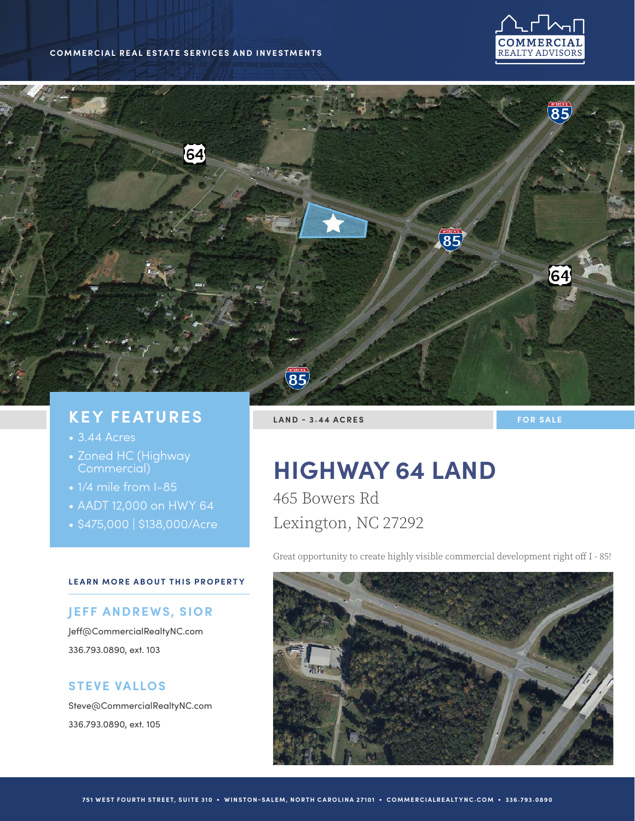#### **COMMERCIAL REAL ESTATE SERVICES AND INVESTMENTS**





# **KEY FEATURES**

- 3.44 Acres
- Zoned HC (Highway Commercial)
- 1/4 mile from I-85
- AADT 12,000 on HWY 64
- \$475,000 | \$138,000/Acre

#### **LEARN MORE ABOUT THIS PROPERTY**

#### **JEFF ANDREWS, SIOR**

Jeff@CommercialRealtyNC.com 336.793.0890, ext. 103

### **STEVE VALLOS**

Steve@CommercialRealtyNC.com 336.793.0890, ext. 105

**LAND - 3.44 ACRES FOR SALE** 

# **HIGHWAY 64 LAND**

465 Bowers Rd Lexington, NC 27292

Great opportunity to create highly visible commercial development right off I - 85!